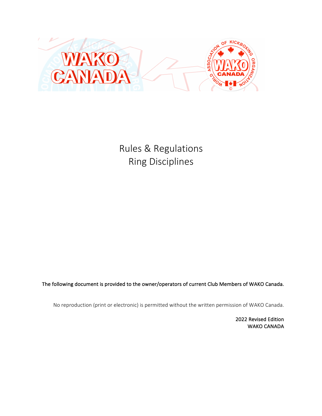

Rules & Regulations Ring Disciplines

The following document is provided to the owner/operators of current Club Members of WAKO Canada.

No reproduction (print or electronic) is permitted without the written permission of WAKO Canada.

2022 Revised Edition WAKO CANADA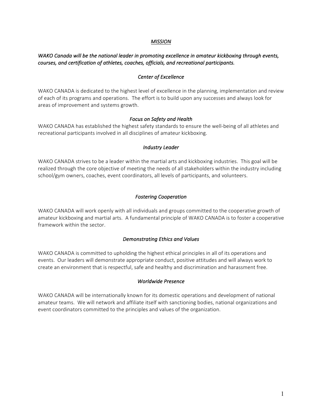#### *MISSION*

# *WAKO* Canada will be the national leader in promoting excellence in amateur kickboxing through events, courses, and certification of athletes, coaches, officials, and recreational participants.

#### **Center of Excellence**

WAKO CANADA is dedicated to the highest level of excellence in the planning, implementation and review of each of its programs and operations. The effort is to build upon any successes and always look for areas of improvement and systems growth.

#### *Focus* on Safety and Health

WAKO CANADA has established the highest safety standards to ensure the well-being of all athletes and recreational participants involved in all disciplines of amateur kickboxing.

#### *Industry Leader*

WAKO CANADA strives to be a leader within the martial arts and kickboxing industries. This goal will be realized through the core objective of meeting the needs of all stakeholders within the industry including school/gym owners, coaches, event coordinators, all levels of participants, and volunteers.

## *Fostering Cooperation*

WAKO CANADA will work openly with all individuals and groups committed to the cooperative growth of amateur kickboxing and martial arts. A fundamental principle of WAKO CANADA is to foster a cooperative framework within the sector.

#### **Demonstrating Ethics and Values**

WAKO CANADA is committed to upholding the highest ethical principles in all of its operations and events. Our leaders will demonstrate appropriate conduct, positive attitudes and will always work to create an environment that is respectful, safe and healthy and discrimination and harassment free.

#### *Worldwide Presence*

WAKO CANADA will be internationally known for its domestic operations and development of national amateur teams. We will network and affiliate itself with sanctioning bodies, national organizations and event coordinators committed to the principles and values of the organization.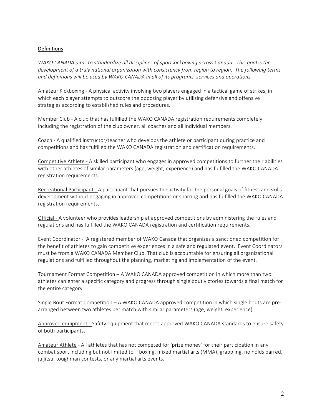# Definitions

*WAKO* CANADA aims to standardize all disciplines of sport kickboxing across Canada. This goal is the development of a truly national organization with consistency from region to region. The following terms and definitions will be used by WAKO CANADA in all of its programs, services and operations.

Amateur Kickboxing - A physical activity involving two players engaged in a tactical game of strikes, in which each player attempts to outscore the opposing player by utilizing defensive and offensive strategies according to established rules and procedures.

Member Club - A club that has fulfilled the WAKO CANADA registration requirements completely  $$ including the registration of the club owner, all coaches and all individual members.

Coach - A qualified instructor/teacher who develops the athlete or participant during practice and competitions and has fulfilled the WAKO CANADA registration and certification requirements.

Competitive Athlete - A skilled participant who engages in approved competitions to further their abilities with other athletes of similar parameters (age, weight, experience) and has fulfilled the WAKO CANADA registration requirements.

Recreational Participant - A participant that pursues the activity for the personal goals of fitness and skills development without engaging in approved competitions or sparring and has fulfilled the WAKO CANADA registration requirements.

Official - A volunteer who provides leadership at approved competitions by administering the rules and regulations and has fulfilled the WAKO CANADA registration and certification requirements.

Event Coordinator - A registered member of WAKO Canada that organizes a sanctioned competition for the benefit of athletes to gain competitive experiences in a safe and regulated event. Event Coordinators must be from a WAKO CANADA Member Club. That club is accountable for ensuring all organizational regulations and fulfilled throughout the planning, marketing and implementation of the event.

Tournament Format Competition - A WAKO CANADA approved competition in which more than two athletes can enter a specific category and progress through single bout victories towards a final match for the entire category.

Single Bout Format Competition  $- A$  WAKO CANADA approved competition in which single bouts are prearranged between two athletes per match with similar parameters (age, weight, experience).

Approved equipment - Safety equipment that meets approved WAKO CANADA standards to ensure safety of both participants.

Amateur Athlete - All athletes that has not competed for 'prize money' for their participation in any combat sport including but not limited to – boxing, mixed martial arts (MMA), grappling, no holds barred, ju jitsu, toughman contests, or any martial arts events.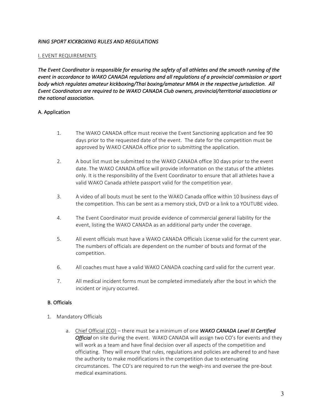# *RING SPORT KICKBOXING RULES AND REGULATIONS*

## **I. EVENT REQUIREMENTS**

The Event Coordinator is responsible for ensuring the safety of all athletes and the smooth running of the *event in accordance to WAKO CANADA regulations and all regulations of a provincial commission or sport body* which regulates amateur kickboxing/Thai boxing/amateur MMA in the respective jurisdiction. All *Event Coordinators are required to be WAKO CANADA Club owners, provincial/territorial associations or the national association.* 

# A. Application

- 1. The WAKO CANADA office must receive the Event Sanctioning application and fee 90 days prior to the requested date of the event. The date for the competition must be approved by WAKO CANADA office prior to submitting the application.
- 2. A bout list must be submitted to the WAKO CANADA office 30 days prior to the event date. The WAKO CANADA office will provide information on the status of the athletes only. It is the responsibility of the Event Coordinator to ensure that all athletes have a valid WAKO Canada athlete passport valid for the competition year.
- 3. A video of all bouts must be sent to the WAKO Canada office within 10 business days of the competition. This can be sent as a memory stick, DVD or a link to a YOUTUBE video.
- 4. The Event Coordinator must provide evidence of commercial general liability for the event, listing the WAKO CANADA as an additional party under the coverage.
- 5. All event officials must have a WAKO CANADA Officials License valid for the current year. The numbers of officials are dependent on the number of bouts and format of the competition.
- 6. All coaches must have a valid WAKO CANADA coaching card valid for the current year.
- 7. All medical incident forms must be completed immediately after the bout in which the incident or injury occurred.

# B. Officials

- 1. Mandatory Officials
	- a. Chief Official (CO) there must be a minimum of one **WAKO CANADA Level III Certified Official** on site during the event. WAKO CANADA will assign two CO's for events and they will work as a team and have final decision over all aspects of the competition and officiating. They will ensure that rules, regulations and policies are adhered to and have the authority to make modifications in the competition due to extenuating circumstances. The CO's are required to run the weigh-ins and oversee the pre-bout medical examinations.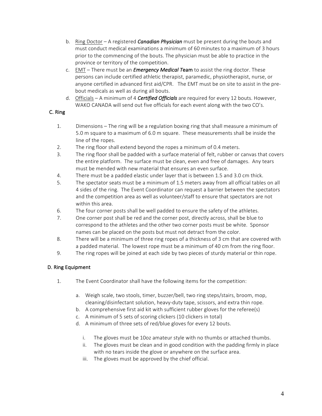- b. Ring Doctor A registered **Canadian Physician** must be present during the bouts and must conduct medical examinations a minimum of 60 minutes to a maximum of 3 hours prior to the commencing of the bouts. The physician must be able to practice in the province or territory of the competition.
- c. EMT There must be an *Emergency Medical Team* to assist the ring doctor. These persons can include certified athletic therapist, paramedic, physiotherapist, nurse, or anyone certified in advanced first aid/CPR. The EMT must be on site to assist in the prebout medicals as well as during all bouts.
- d. Officials A minimum of 4 **Certified Officials** are required for every 12 bouts. However, WAKO CANADA will send out five officials for each event along with the two CO's.

# C. Ring

- 1. Dimensions The ring will be a regulation boxing ring that shall measure a minimum of 5.0 m square to a maximum of 6.0 m square. These measurements shall be inside the line of the ropes.
- 2. The ring floor shall extend beyond the ropes a minimum of 0.4 meters.
- 3. The ring floor shall be padded with a surface material of felt, rubber or canvas that covers the entire platform. The surface must be clean, even and free of damages. Any tears must be mended with new material that ensures an even surface.
- 4. There must be a padded elastic under layer that is between 1.5 and 3.0 cm thick.
- 5. The spectator seats must be a minimum of 1.5 meters away from all official tables on all 4 sides of the ring. The Event Coordinator can request a barrier between the spectators and the competition area as well as volunteer/staff to ensure that spectators are not within this area.
- 6. The four corner posts shall be well padded to ensure the safety of the athletes.
- 7. One corner post shall be red and the corner post, directly across, shall be blue to correspond to the athletes and the other two corner posts must be white. Sponsor names can be placed on the posts but must not detract from the color.
- 8. There will be a minimum of three ring ropes of a thickness of 3 cm that are covered with a padded material. The lowest rope must be a minimum of 40 cm from the ring floor.
- 9. The ring ropes will be joined at each side by two pieces of sturdy material or thin rope.

# D. Ring Equipment

- 1. The Event Coordinator shall have the following items for the competition:
	- a. Weigh scale, two stools, timer, buzzer/bell, two ring steps/stairs, broom, mop, cleaning/disinfectant solution, heavy-duty tape, scissors, and extra thin rope.
	- b. A comprehensive first aid kit with sufficient rubber gloves for the referee(s)
	- c. A minimum of 5 sets of scoring clickers (10 clickers in total)
	- d. A minimum of three sets of red/blue gloves for every 12 bouts.
		- i. The gloves must be 10oz amateur style with no thumbs or attached thumbs.
		- $ii.$  The gloves must be clean and in good condition with the padding firmly in place with no tears inside the glove or anywhere on the surface area.
		- iii. The gloves must be approved by the chief official.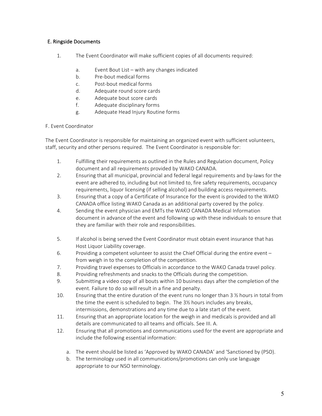# E. Ringside Documents

- 1. The Event Coordinator will make sufficient copies of all documents required:
	- a. Event Bout List  $-$  with any changes indicated
	- b. Pre-bout medical forms
	- c. Post-bout medical forms
	- d. Adequate round score cards
	- e. Adequate bout score cards
	- f. Adequate disciplinary forms
	- g. Adequate Head Injury Routine forms

# F. Event Coordinator

The Event Coordinator is responsible for maintaining an organized event with sufficient volunteers, staff, security and other persons required. The Event Coordinator is responsible for:

- 1. Fulfilling their requirements as outlined in the Rules and Regulation document, Policy document and all requirements provided by WAKO CANADA.
- 2. Ensuring that all municipal, provincial and federal legal requirements and by-laws for the event are adhered to, including but not limited to, fire safety requirements, occupancy requirements, liquor licensing (if selling alcohol) and building access requirements.
- 3. Ensuring that a copy of a Certificate of Insurance for the event is provided to the WAKO CANADA office listing WAKO Canada as an additional party covered by the policy.
- 4. Sending the event physician and EMTs the WAKO CANADA Medical Information document in advance of the event and following up with these individuals to ensure that they are familiar with their role and responsibilities.
- 5. If alcohol is being served the Event Coordinator must obtain event insurance that has Host Liquor Liability coverage.
- 6. Providing a competent volunteer to assist the Chief Official during the entire event from weigh in to the completion of the competition.
- 7. Providing travel expenses to Officials in accordance to the WAKO Canada travel policy.
- 8. Providing refreshments and snacks to the Officials during the competition.
- 9. Submitting a video copy of all bouts within 10 business days after the completion of the event. Failure to do so will result in a fine and penalty.
- 10. Ensuring that the entire duration of the event runs no longer than  $3\frac{1}{2}$  hours in total from the time the event is scheduled to begin. The  $3\frac{1}{2}$  hours includes any breaks, intermissions, demonstrations and any time due to a late start of the event.
- 11. Ensuring that an appropriate location for the weigh in and medicals is provided and all details are communicated to all teams and officials. See III. A.
- 12. Ensuring that all promotions and communications used for the event are appropriate and include the following essential information:
	- a. The event should be listed as 'Approved by WAKO CANADA' and 'Sanctioned by (PSO).
	- b. The terminology used in all communications/promotions can only use language appropriate to our NSO terminology.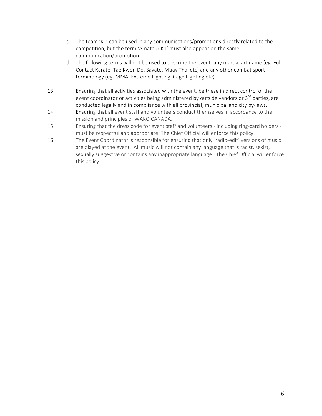- c. The team 'K1' can be used in any communications/promotions directly related to the competition, but the term 'Amateur K1' must also appear on the same communication/promotion.
- d. The following terms will not be used to describe the event: any martial art name (eg. Full Contact Karate, Tae Kwon Do, Savate, Muay Thai etc) and any other combat sport terminology (eg. MMA, Extreme Fighting, Cage Fighting etc).
- 13. Ensuring that all activities associated with the event, be these in direct control of the event coordinator or activities being administered by outside vendors or  $3<sup>rd</sup>$  parties, are conducted legally and in compliance with all provincial, municipal and city by-laws.
- 14. Ensuring that all event staff and volunteers conduct themselves in accordance to the mission and principles of WAKO CANADA.
- 15. Ensuring that the dress code for event staff and volunteers including ring-card holders must be respectful and appropriate. The Chief Official will enforce this policy.
- 16. The Event Coordinator is responsible for ensuring that only 'radio-edit' versions of music are played at the event. All music will not contain any language that is racist, sexist, sexually suggestive or contains any inappropriate language. The Chief Official will enforce this policy.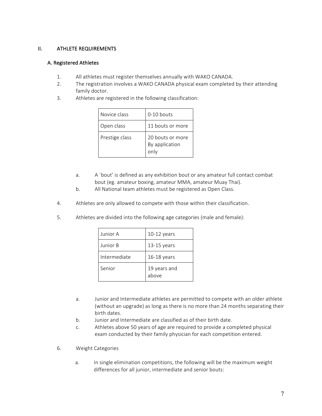# II. ATHLETE REQUIREMENTS

## A. Registered Athletes

- 1. All athletes must register themselves annually with WAKO CANADA.
- 2. The registration involves a WAKO CANADA physical exam completed by their attending family doctor.
- 3. Athletes are registered in the following classification:

| Novice class   | $0-10$ bouts                               |
|----------------|--------------------------------------------|
| Open class     | 11 bouts or more                           |
| Prestige class | 20 bouts or more<br>By application<br>only |

- a. A `bout' is defined as any exhibition bout or any amateur full contact combat bout (eg. amateur boxing, amateur MMA, amateur Muay Thai).
- b. All National team athletes must be registered as Open Class.
- 4. Athletes are only allowed to compete with those within their classification.
- 5. Athletes are divided into the following age categories (male and female):

| Junior A     | $10-12$ years         |
|--------------|-----------------------|
| Junior B     | $13-15$ years         |
| Intermediate | $16-18$ years         |
| Senior       | 19 years and<br>above |

- a. Junior and Intermediate athletes are permitted to compete with an older athlete (without an upgrade) as long as there is no more than 24 months separating their birth dates.
- b. Junior and Intermediate are classified as of their birth date.
- c. Athletes above 50 years of age are required to provide a completed physical exam conducted by their family physician for each competition entered.
- 6. Weight Categories
	- a. In single elimination competitions, the following will be the maximum weight differences for all junior, intermediate and senior bouts: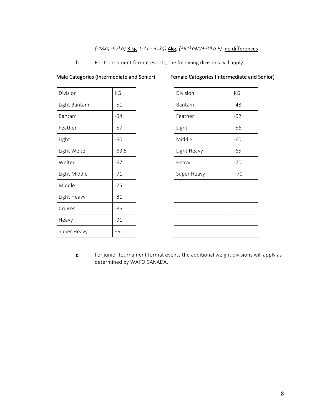# *(-48kg -67kg):*3 kg*; (-71 - 91kg):*4kg*; (+91kgM/+70kg F):* no differences

b. For tournament format events, the following divisions will apply:

| Division     | KG      | Division    | KG    |
|--------------|---------|-------------|-------|
| Light Bantam | $-51$   | Bantam      | -48   |
| Bantam       | $-54$   | Feather     | $-52$ |
| Feather      | $-57$   | Light       | $-56$ |
| Light        | $-60$   | Middle      | $-60$ |
| Light Welter | $-63.5$ | Light Heavy | $-65$ |
| Welter       | $-67$   | Heavy       | $-70$ |
| Light Middle | $-71$   | Super Heavy | $+70$ |
| Middle       | $-75$   |             |       |
| Light Heavy  | $-81$   |             |       |
| Cruiser      | $-86$   |             |       |
| Heavy        | $-91$   |             |       |
| Super Heavy  | $+91$   |             |       |

# Male Categories (Intermediate and Senior) Female Categories (Intermediate and Senior)

| Division    | KG    |
|-------------|-------|
| Bantam      | $-48$ |
| Feather     | $-52$ |
| Light       | $-56$ |
| Middle      | $-60$ |
| Light Heavy | $-65$ |
| Heavy       | $-70$ |
| Super Heavy | $+70$ |
|             |       |
|             |       |
|             |       |
|             |       |
|             |       |

c. For junior tournament format events the additional weight divisions will apply as determined by WAKO CANADA.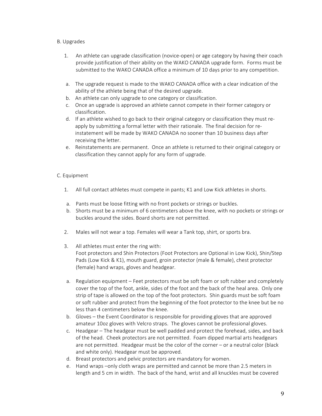## B. Upgrades

- 1. An athlete can upgrade classification (novice-open) or age category by having their coach provide justification of their ability on the WAKO CANADA upgrade form. Forms must be submitted to the WAKO CANADA office a minimum of 10 days prior to any competition.
- a. The upgrade request is made to the WAKO CANADA office with a clear indication of the ability of the athlete being that of the desired upgrade.
- b. An athlete can only upgrade to one category or classification.
- c. Once an upgrade is approved an athlete cannot compete in their former category or classification.
- d. If an athlete wished to go back to their original category or classification they must reapply by submitting a formal letter with their rationale. The final decision for reinstatement will be made by WAKO CANADA no sooner than 10 business days after receiving the letter.
- e. Reinstatements are permanent. Once an athlete is returned to their original category or classification they cannot apply for any form of upgrade.

## C. Equipment

- 1. All full contact athletes must compete in pants; K1 and Low Kick athletes in shorts.
- a. Pants must be loose fitting with no front pockets or strings or buckles.
- b. Shorts must be a minimum of 6 centimeters above the knee, with no pockets or strings or buckles around the sides. Board shorts are not permitted.
- 2. Males will not wear a top. Females will wear a Tank top, shirt, or sports bra.
- 3. All athletes must enter the ring with: Foot protectors and Shin Protectors (Foot Protectors are Optional in Low Kick), Shin/Step Pads (Low Kick & K1), mouth guard, groin protector (male & female), chest protector (female) hand wraps, gloves and headgear.
- a. Regulation equipment Feet protectors must be soft foam or soft rubber and completely cover the top of the foot, ankle, sides of the foot and the back of the heal area. Only one strip of tape is allowed on the top of the foot protectors. Shin guards must be soft foam or soft rubber and protect from the beginning of the foot protector to the knee but be no less than 4 centimeters below the knee.
- b. Gloves the Event Coordinator is responsible for providing gloves that are approved amateur 10oz gloves with Velcro straps. The gloves cannot be professional gloves.
- c. Headgear The headgear must be well padded and protect the forehead, sides, and back of the head. Cheek protectors are not permitted. Foam dipped martial arts headgears are not permitted. Headgear must be the color of the corner  $-$  or a neutral color (black and white only). Headgear must be approved.
- d. Breast protectors and pelvic protectors are mandatory for women.
- e. Hand wraps –only cloth wraps are permitted and cannot be more than 2.5 meters in length and 5 cm in width. The back of the hand, wrist and all knuckles must be covered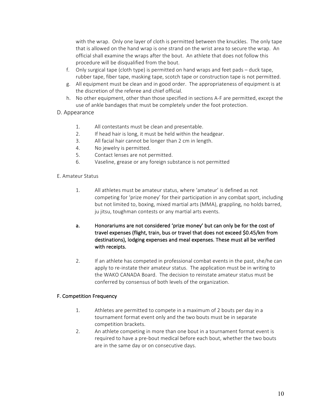with the wrap. Only one layer of cloth is permitted between the knuckles. The only tape that is allowed on the hand wrap is one strand on the wrist area to secure the wrap. An official shall examine the wraps after the bout. An athlete that does not follow this procedure will be disqualified from the bout.

- f. Only surgical tape (cloth type) is permitted on hand wraps and feet pads duck tape, rubber tape, fiber tape, masking tape, scotch tape or construction tape is not permitted.
- g. All equipment must be clean and in good order. The appropriateness of equipment is at the discretion of the referee and chief official.
- h. No other equipment, other than those specified in sections A-F are permitted, except the use of ankle bandages that must be completely under the foot protection.
- D. Appearance
	- 1. All contestants must be clean and presentable.
	- 2. If head hair is long, it must be held within the headgear.
	- 3. All facial hair cannot be longer than 2 cm in length.
	- 4. No jewelry is permitted.
	- 5. Contact lenses are not permitted.
	- 6. Vaseline, grease or any foreign substance is not permitted
- E. Amateur Status
	- 1. All athletes must be amateur status, where 'amateur' is defined as not competing for 'prize money' for their participation in any combat sport, including but not limited to, boxing, mixed martial arts (MMA), grappling, no holds barred, ju jitsu, toughman contests or any martial arts events.
	- a. Honorariums are not considered 'prize money' but can only be for the cost of travel expenses (flight, train, bus or travel that does not exceed \$0.45/km from destinations), lodging expenses and meal expenses. These must all be verified with receipts.
	- 2. If an athlete has competed in professional combat events in the past, she/he can apply to re-instate their amateur status. The application must be in writing to the WAKO CANADA Board. The decision to reinstate amateur status must be conferred by consensus of both levels of the organization.

# F. Competition Frequency

- 1. Athletes are permitted to compete in a maximum of 2 bouts per day in a tournament format event only and the two bouts must be in separate competition brackets.
- 2. An athlete competing in more than one bout in a tournament format event is required to have a pre-bout medical before each bout, whether the two bouts are in the same day or on consecutive days.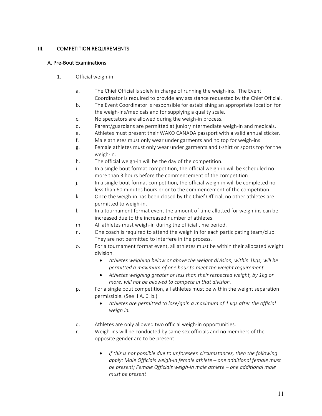# III. COMPETITION REQUIREMENTS

## A. Pre-Bout Examinations

- 1. Official weigh-in
	- a. The Chief Official is solely in charge of running the weigh-ins. The Event Coordinator is required to provide any assistance requested by the Chief Official.
	- b. The Event Coordinator is responsible for establishing an appropriate location for the weigh-ins/medicals and for supplying a quality scale.
	- c. No spectators are allowed during the weigh-in process.
	- d. Parent/guardians are permitted at junior/intermediate weigh-in and medicals.
	- e. Athletes must present their WAKO CANADA passport with a valid annual sticker.
	- f. Male athletes must only wear under garments and no top for weigh-ins.
	- g. Female athletes must only wear under garments and t-shirt or sports top for the weigh-in.
	- h. The official weigh-in will be the day of the competition.
	- i. In a single bout format competition, the official weigh-in will be scheduled no more than 3 hours before the commencement of the competition.
	- j. In a single bout format competition, the official weigh-in will be completed no less than 60 minutes hours prior to the commencement of the competition.
	- k. Once the weigh-in has been closed by the Chief Official, no other athletes are permitted to weigh-in.
	- l. In a tournament format event the amount of time allotted for weigh-ins can be increased due to the increased number of athletes.
	- m. All athletes must weigh-in during the official time period.
	- n. One coach is required to attend the weigh in for each participating team/club. They are not permitted to interfere in the process.
	- o. For a tournament format event, all athletes must be within their allocated weight division.
		- Athletes weighing below or above the weight division, within 1kgs, will be *permitted a maximum of one hour to meet the weight requirement.*
		- Athletes weighing greater or less than their respected weight, by 1kg or *more, will not be allowed to compete in that division.*
	- p. For a single bout competition, all athletes must be within the weight separation permissible. (See II A. 6. b.)
		- Athletes are permitted to lose/gain a maximum of 1 kgs after the official *weigh in.*
	- q. Athletes are only allowed two official weigh-in opportunities.
	- r. Weigh-ins will be conducted by same sex officials and no members of the opposite gender are to be present.
		- If this is not possible due to unforeseen circumstances, then the following *apply:* Male Officials weigh-in female athlete – one additional female must *be present;* Female Officials weigh-in male athlete – one additional male *must be present*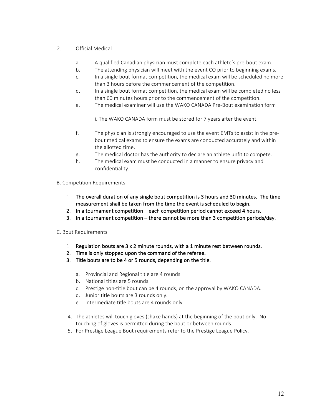# 2. Official Medical

- a. A qualified Canadian physician must complete each athlete's pre-bout exam.
- b. The attending physician will meet with the event CO prior to beginning exams.
- c. In a single bout format competition, the medical exam will be scheduled no more than 3 hours before the commencement of the competition.
- d. In a single bout format competition, the medical exam will be completed no less than 60 minutes hours prior to the commencement of the competition.
- e. The medical examiner will use the WAKO CANADA Pre-Bout examination form

i. The WAKO CANADA form must be stored for 7 years after the event.

- f. The physician is strongly encouraged to use the event EMTs to assist in the prebout medical exams to ensure the exams are conducted accurately and within the allotted time.
- g. The medical doctor has the authority to declare an athlete unfit to compete.
- h. The medical exam must be conducted in a manner to ensure privacy and confidentiality.

## B. Competition Requirements

- 1. The overall duration of any single bout competition is 3 hours and 30 minutes. The time measurement shall be taken from the time the event is scheduled to begin.
- 2. In a tournament competition each competition period cannot exceed 4 hours.
- 3. In a tournament competition there cannot be more than 3 competition periods/day.

## C. Bout Requirements

- 1. Regulation bouts are  $3 \times 2$  minute rounds, with a 1 minute rest between rounds.
- 2. Time is only stopped upon the command of the referee.
- 3. Title bouts are to be 4 or 5 rounds, depending on the title.
	- a. Provincial and Regional title are 4 rounds.
	- b. National titles are 5 rounds.
	- c. Prestige non-title bout can be 4 rounds, on the approval by WAKO CANADA.
	- d. Junior title bouts are 3 rounds only.
	- e. Intermediate title bouts are 4 rounds only.
- 4. The athletes will touch gloves (shake hands) at the beginning of the bout only. No touching of gloves is permitted during the bout or between rounds.
- 5. For Prestige League Bout requirements refer to the Prestige League Policy.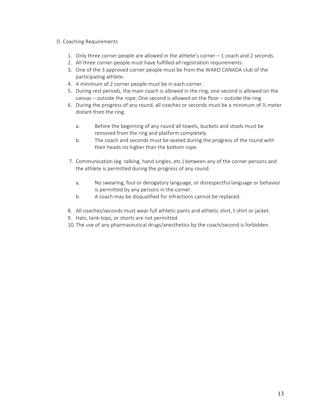## D. Coaching Requirements

- 1. Only three corner people are allowed in the athlete's corner  $-1$  coach and 2 seconds.
- 2. All three corner-people must have fulfilled all registration requirements.
- 3. One of the 3 approved corner people must be from the WAKO CANADA club of the participating athlete.
- 4. A minimum of 2 corner people must be in each corner.
- 5. During rest periods, the main coach is allowed in the ring; one second is allowed on the canvas  $-$  outside the rope; One second is allowed on the floor  $-$  outside the ring.
- 6. During the progress of any round, all coaches or seconds must be a minimum of  $\frac{1}{2}$  meter distant from the ring.
	- a. Before the beginning of any round all towels, buckets and stools must be removed from the ring and platform completely.
	- b. The coach and seconds must be seated during the progress of the round with their heads no higher than the bottom rope.
- 7. Communication (eg. talking, hand singles, etc.) between any of the corner persons and the athlete is permitted during the progress of any round.
	- a. No swearing, foul or derogatory language, or disrespectful language or behavior is permitted by any persons in the corner.
	- b. A coach may be disqualified for infractions cannot be replaced.
- 8. All coaches/seconds must wear full athletic pants and athletic shirt, t-shirt or jacket.
- 9. Hats, tank-tops, or shorts are not permitted.
- 10. The use of any pharmaceutical drugs/anesthetics by the coach/second is forbidden.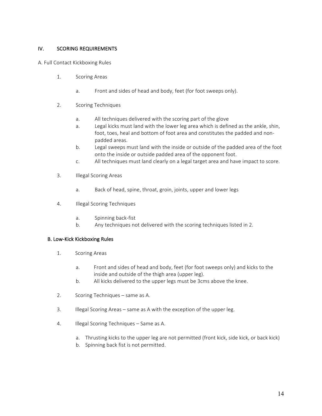# IV. SCORING REQUIREMENTS

A. Full Contact Kickboxing Rules

- 1. Scoring Areas
	- a. Front and sides of head and body, feet (for foot sweeps only).
- 2. Scoring Techniques
	- a. All techniques delivered with the scoring part of the glove
	- a. Legal kicks must land with the lower leg area which is defined as the ankle, shin, foot, toes, heal and bottom of foot area and constitutes the padded and nonpadded areas.
	- b. Legal sweeps must land with the inside or outside of the padded area of the foot onto the inside or outside padded area of the opponent foot.
	- c. All techniques must land clearly on a legal target area and have impact to score.
- 3. **Illegal Scoring Areas** 
	- a. Back of head, spine, throat, groin, joints, upper and lower legs
- 4. **Illegal Scoring Techniques** 
	- a. Spinning back-fist
	- b. Any techniques not delivered with the scoring techniques listed in 2.

## B. Low-Kick Kickboxing Rules

- 1. Scoring Areas
	- a. Front and sides of head and body, feet (for foot sweeps only) and kicks to the inside and outside of the thigh area (upper leg).
	- b. All kicks delivered to the upper legs must be 3cms above the knee.
- 2. Scoring Techniques same as A.
- 3. Illegal Scoring Areas same as A with the exception of the upper leg.
- 4. Illegal Scoring Techniques Same as A.
	- a. Thrusting kicks to the upper leg are not permitted (front kick, side kick, or back kick)
	- b. Spinning back fist is not permitted.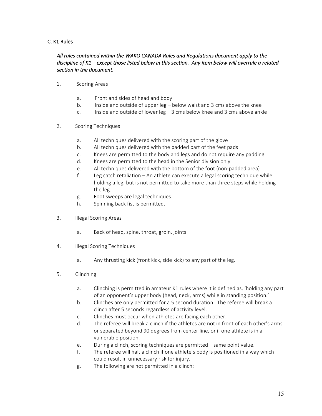# C. K1 Rules

# All rules contained within the WAKO CANADA Rules and Regulations document apply to the discipline of K1 – except those listed below in this section. Any item below will overrule a related section in the document.

- 1. Scoring Areas
	- a. Front and sides of head and body
	- b. Inside and outside of upper  $\log -$  below waist and 3 cms above the knee
	- c. Inside and outside of lower  $\log 3$  cms below knee and 3 cms above ankle
- 2. Scoring Techniques
	- a. All techniques delivered with the scoring part of the glove
	- b. All techniques delivered with the padded part of the feet pads
	- c. Knees are permitted to the body and legs and do not require any padding
	- d. Knees are permitted to the head in the Senior division only
	- e. All techniques delivered with the bottom of the foot (non-padded area)
	- f. Leg catch retaliation An athlete can execute a legal scoring technique while holding a leg, but is not permitted to take more than three steps while holding the leg.
	- g. Foot sweeps are legal techniques.
	- h. Spinning back fist is permitted.
- 3. **Illegal Scoring Areas** 
	- a. Back of head, spine, throat, groin, joints
- 4. **Illegal Scoring Techniques** 
	- a. Any thrusting kick (front kick, side kick) to any part of the leg.
- 5. Clinching
	- a. Clinching is permitted in amateur K1 rules where it is defined as, 'holding any part of an opponent's upper body (head, neck, arms) while in standing position.'
	- b. Clinches are only permitted for a 5 second duration. The referee will break a clinch after 5 seconds regardless of activity level.
	- c. Clinches must occur when athletes are facing each other.
	- d. The referee will break a clinch if the athletes are not in front of each other's arms or separated beyond 90 degrees from center line, or if one athlete is in a vulnerable position.
	- e. During a clinch, scoring techniques are permitted same point value.
	- f. The referee will halt a clinch if one athlete's body is positioned in a way which could result in unnecessary risk for injury.
	- g. The following are not permitted in a clinch: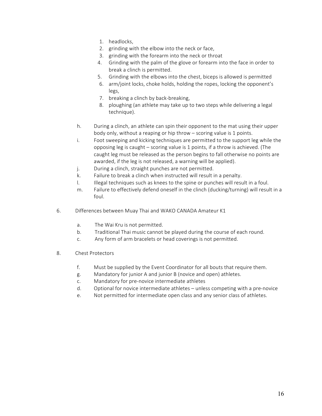- 1. headlocks,
- 2. grinding with the elbow into the neck or face,
- 3. grinding with the forearm into the neck or throat
- 4. Grinding with the palm of the glove or forearm into the face in order to break a clinch is permitted.
- 5. Grinding with the elbows into the chest, biceps is allowed is permitted
- 6. arm/joint locks, choke holds, holding the ropes, locking the opponent's legs,
- 7. breaking a clinch by back-breaking,
- 8. ploughing (an athlete may take up to two steps while delivering a legal technique).
- h. During a clinch, an athlete can spin their opponent to the mat using their upper body only, without a reaping or hip throw  $-$  scoring value is 1 points.
- i. Foot sweeping and kicking techniques are permitted to the support leg while the opposing leg is caught – scoring value is 1 points, if a throw is achieved. (The caught leg must be released as the person begins to fall otherwise no points are awarded, if the leg is not released, a warning will be applied).
- j. During a clinch, straight punches are not permitted.
- k. Failure to break a clinch when instructed will result in a penalty.
- l. Illegal techniques such as knees to the spine or punches will result in a foul.
- m. Failure to effectively defend oneself in the clinch (ducking/turning) will result in a foul.
- 6. Differences between Muay Thai and WAKO CANADA Amateur K1
	- a. The Wai Kru is not permitted.
	- b. Traditional Thai music cannot be played during the course of each round.
	- c. Any form of arm bracelets or head coverings is not permitted.
- 8. Chest Protectors
	- f. Must be supplied by the Event Coordinator for all bouts that require them.
	- g. Mandatory for junior A and junior B (novice and open) athletes.
	- c. Mandatory for pre-novice intermediate athletes
	- d. Optional for novice intermediate athletes unless competing with a pre-novice
	- e. Not permitted for intermediate open class and any senior class of athletes.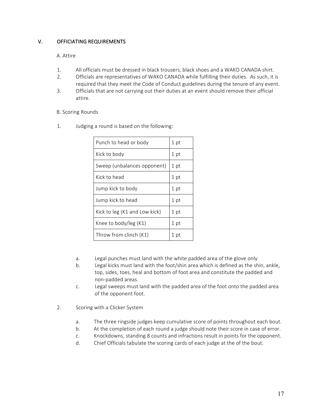# V. OFFICIATING REQUIREMENTS

# A. Attire

- 1. All officials must be dressed in black trousers, black shoes and a WAKO CANADA shirt.
- 2. Officials are representatives of WAKO CANADA while fulfilling their duties. As such, it is required that they meet the Code of Conduct guidelines during the tenure of any event.
- 3. Officials that are not carrying out their duties at an event should remove their official attire.

# **B.** Scoring Rounds

1. Judging a round is based on the following:

| 1 pt |
|------|
| 1 pt |
| 1 pt |
| 1 pt |
| 1 pt |
| 1 pt |
| 1 pt |
| 1 pt |
| 1 pt |
|      |

- a. Legal punches must land with the white padded area of the glove only
- b. Legal kicks must land with the foot/shin area which is defined as the shin, ankle, top, sides, toes, heal and bottom of foot area and constitute the padded and non-padded areas.
- c. Legal sweeps must land with the padded area of the foot onto the padded area of the opponent foot.
- 2. Scoring with a Clicker System
	- a. The three ringside judges keep cumulative score of points throughout each bout.
	- b. At the completion of each round a judge should note their score in case of error.
	- c. Knockdowns, standing 8 counts and infractions result in points for the opponent.
	- d. Chief Officials tabulate the scoring cards of each judge at the of the bout.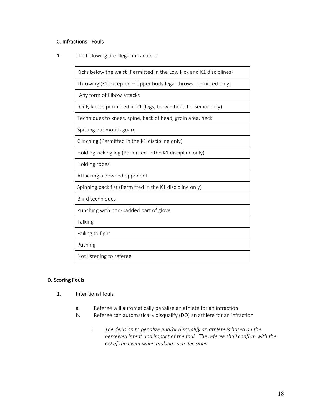# C. Infractions - Fouls

1. The following are illegal infractions:

| Kicks below the waist (Permitted in the Low kick and K1 disciplines) |
|----------------------------------------------------------------------|
| Throwing (K1 excepted - Upper body legal throws permitted only)      |
| Any form of Elbow attacks                                            |
| Only knees permitted in K1 (legs, body – head for senior only)       |
| Techniques to knees, spine, back of head, groin area, neck           |
| Spitting out mouth guard                                             |
| Clinching (Permitted in the K1 discipline only)                      |
| Holding kicking leg (Permitted in the K1 discipline only)            |
| Holding ropes                                                        |
| Attacking a downed opponent                                          |
| Spinning back fist (Permitted in the K1 discipline only)             |
| <b>Blind techniques</b>                                              |
| Punching with non-padded part of glove                               |
| Talking                                                              |
| Failing to fight                                                     |
| Pushing                                                              |
| Not listening to referee                                             |

# D. Scoring Fouls

- 1. Intentional fouls
	- a. Referee will automatically penalize an athlete for an infraction
	- b. Referee can automatically disqualify (DQ) an athlete for an infraction
		- *i.* The decision to penalize and/or disqualify an athlete is based on the *perceived intent and impact of the foul. The referee shall confirm with the* CO of the event when making such decisions.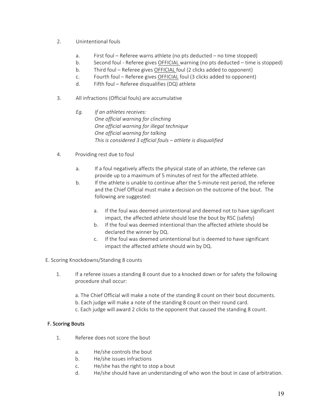- 2. Unintentional fouls
	- a. First foul Referee warns athlete (no pts deducted no time stopped)
	- b. Second foul Referee gives OFFICIAL warning (no pts deducted time is stopped)
	- b. Third foul Referee gives OFFICIAL foul (2 clicks added to opponent)
	- c. Fourth foul Referee gives OFFICIAL foul (3 clicks added to opponent)
	- d. Fifth foul Referee disqualifies (DQ) athlete
- 3. All infractions (Official fouls) are accumulative
	- Eq. If an athletes receives:  *One official warning for clinching One official warning for illegal technique One official warning for talking This is considered 3 official fouls – athlete is disqualified*
- 4. Providing rest due to foul
	- a. If a foul negatively affects the physical state of an athlete, the referee can provide up to a maximum of 5 minutes of rest for the affected athlete.
	- b. If the athlete is unable to continue after the 5-minute rest period, the referee and the Chief Official must make a decision on the outcome of the bout. The following are suggested:
		- a. If the foul was deemed unintentional and deemed not to have significant impact, the affected athlete should lose the bout by RSC (safety)
		- b. If the foul was deemed intentional than the affected athlete should be declared the winner by DQ.
		- c. If the foul was deemed unintentional but is deemed to have significant impact the affected athlete should win by DQ.
- E. Scoring Knockdowns/Standing 8 counts
	- 1. If a referee issues a standing 8 count due to a knocked down or for safety the following procedure shall occur:
		- a. The Chief Official will make a note of the standing 8 count on their bout documents.
		- b. Each judge will make a note of the standing 8 count on their round card.
		- c. Each judge will award 2 clicks to the opponent that caused the standing 8 count.

# **F. Scoring Bouts**

- 1. Referee does not score the bout
	- a. He/she controls the bout
	- b. He/she issues infractions
	- c. He/she has the right to stop a bout
	- d. He/she should have an understanding of who won the bout in case of arbitration.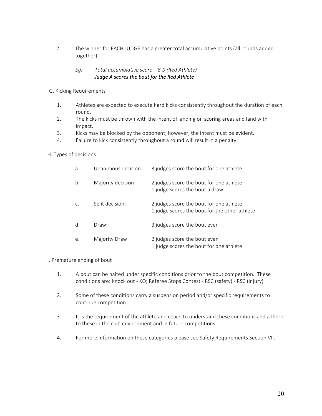2. The winner for EACH JUDGE has a greater total accumulative points (all rounds added together)

# *Eg.* Total accumulative score – 8-9 (Red Athlete) Judge A scores the bout for the Red Athlete

- G. Kicking Requirements
	- 1. Athletes are expected to execute hard kicks consistently throughout the duration of each round.
	- 2. The kicks must be thrown with the intent of landing on scoring areas and land with impact.
	- 3. Kicks may be blocked by the opponent; however, the intent must be evident.
	- 4. Failure to kick consistently throughout a round will result in a penalty.

## H. Types of decisions

| a.    | Unanimous decision: | 3 judges score the bout for one athlete                                                  |
|-------|---------------------|------------------------------------------------------------------------------------------|
| b.    | Majority decision:  | 2 judges score the bout for one athlete<br>1 judge scores the bout a draw                |
|       | Split decision:     | 2 judges score the bout for one athlete<br>1 judge scores the bout for the other athlete |
| $d$ . | Draw:               | 3 judges score the bout even                                                             |
| e.    | Majority Draw:      | 2 judges score the bout even<br>1 judge scores the bout for one athlete                  |

## I. Premature ending of bout

- 1. A bout can be halted under specific conditions prior to the bout competition. These conditions are: Knock out - KO; Referee Stops Contest - RSC (safety) - RSC (injury)
- 2. Some of these conditions carry a suspension period and/or specific requirements to continue competition.
- 3. It is the requirement of the athlete and coach to understand these conditions and adhere to these in the club environment and in future competitions.
- 4. For more information on these categories please see Safety Requirements Section VII.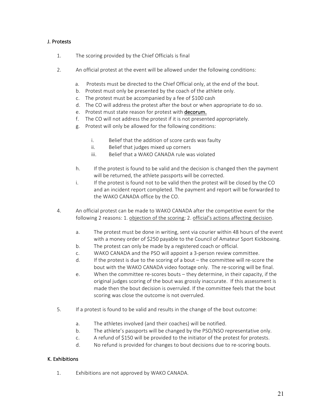# J. Protests

- 1. The scoring provided by the Chief Officials is final
- 2. An official protest at the event will be allowed under the following conditions:
	- a. Protests must be directed to the Chief Official only, at the end of the bout.
	- b. Protest must only be presented by the coach of the athlete only.
	- c. The protest must be accompanied by a fee of \$100 cash
	- d. The CO will address the protest after the bout or when appropriate to do so.
	- e. Protest must state reason for protest with decorum.
	- f. The CO will not address the protest if it is not presented appropriately.
	- g. Protest will only be allowed for the following conditions:
		- i. Belief that the addition of score cards was faulty
		- ii. Belief that judges mixed up corners
		- iii. Belief that a WAKO CANADA rule was violated
	- h. If the protest is found to be valid and the decision is changed then the payment will be returned, the athlete passports will be corrected.
	- i. If the protest is found not to be valid then the protest will be closed by the CO and an incident report completed. The payment and report will be forwarded to the WAKO CANADA office by the CO.
- 4. An official protest can be made to WAKO CANADA after the competitive event for the following 2 reasons: 1. objection of the scoring; 2. official's actions affecting decision.
	- a. The protest must be done in writing, sent via courier within 48 hours of the event with a money order of \$250 payable to the Council of Amateur Sport Kickboxing.
	- b. The protest can only be made by a registered coach or official.
	- c. WAKO CANADA and the PSO will appoint a 3-person review committee.
	- d. If the protest is due to the scoring of a bout the committee will re-score the bout with the WAKO CANADA video footage only. The re-scoring will be final.
	- e. When the committee re-scores bouts they determine, in their capacity, if the original judges scoring of the bout was grossly inaccurate. If this assessment is made then the bout decision is overruled. If the committee feels that the bout scoring was close the outcome is not overruled.
- 5. If a protest is found to be valid and results in the change of the bout outcome:
	- a. The athletes involved (and their coaches) will be notified.
	- b. The athlete's passports will be changed by the PSO/NSO representative only.
	- c. A refund of \$150 will be provided to the initiator of the protest for protests.
	- d. No refund is provided for changes to bout decisions due to re-scoring bouts.

# K. Exhibitions

1. Exhibitions are not approved by WAKO CANADA.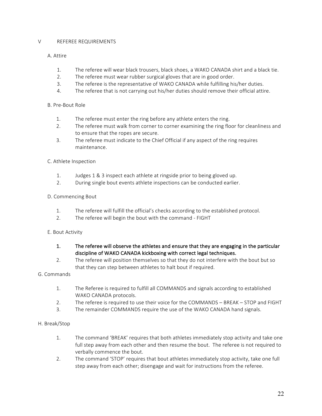## V REFEREE REQUIREMENTS

# A. Attire

- 1. The referee will wear black trousers, black shoes, a WAKO CANADA shirt and a black tie.
- 2. The referee must wear rubber surgical gloves that are in good order.
- 3. The referee is the representative of WAKO CANADA while fulfilling his/her duties.
- 4. The referee that is not carrying out his/her duties should remove their official attire.

## B. Pre-Bout Role

- 1. The referee must enter the ring before any athlete enters the ring.
- 2. The referee must walk from corner to corner examining the ring floor for cleanliness and to ensure that the ropes are secure.
- 3. The referee must indicate to the Chief Official if any aspect of the ring requires maintenance.

# C. Athlete Inspection

- 1. Judges 1 & 3 inspect each athlete at ringside prior to being gloved up.
- 2. During single bout events athlete inspections can be conducted earlier.

# D. Commencing Bout

- 1. The referee will fulfill the official's checks according to the established protocol.
- 2. The referee will begin the bout with the command FIGHT

## E. Bout Activity

- 1. The referee will observe the athletes and ensure that they are engaging in the particular discipline of WAKO CANADA kickboxing with correct legal techniques.
- 2. The referee will position themselves so that they do not interfere with the bout but so that they can step between athletes to halt bout if required.

## G. Commands

- 1. The Referee is required to fulfill all COMMANDS and signals according to established WAKO CANADA protocols.
- 2. The referee is required to use their voice for the COMMANDS BREAK STOP and FIGHT
- 3. The remainder COMMANDS require the use of the WAKO CANADA hand signals.

# H. Break/Stop

- 1. The command 'BREAK' requires that both athletes immediately stop activity and take one full step away from each other and then resume the bout. The referee is not required to verbally commence the bout.
- 2. The command 'STOP' requires that bout athletes immediately stop activity, take one full step away from each other; disengage and wait for instructions from the referee.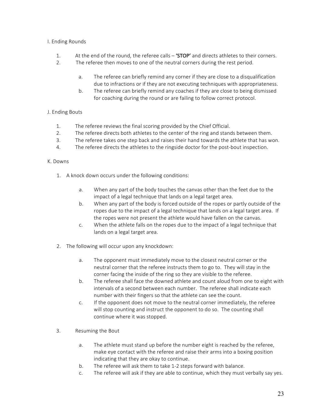# I. Ending Rounds

- 1. At the end of the round, the referee calls  $-$  **'STOP'** and directs athletes to their corners.
- 2. The referee then moves to one of the neutral corners during the rest period.
	- a. The referee can briefly remind any corner if they are close to a disqualification due to infractions or if they are not executing techniques with appropriateness.
	- b. The referee can briefly remind any coaches if they are close to being dismissed for coaching during the round or are failing to follow correct protocol.

# J. Ending Bouts

- 1. The referee reviews the final scoring provided by the Chief Official.
- 2. The referee directs both athletes to the center of the ring and stands between them.
- 3. The referee takes one step back and raises their hand towards the athlete that has won.
- 4. The referee directs the athletes to the ringside doctor for the post-bout inspection.

## K. Downs

- 1. A knock down occurs under the following conditions:
	- a. When any part of the body touches the canvas other than the feet due to the impact of a legal technique that lands on a legal target area.
	- b. When any part of the body is forced outside of the ropes or partly outside of the ropes due to the impact of a legal technique that lands on a legal target area. If the ropes were not present the athlete would have fallen on the canvas.
	- c. When the athlete falls on the ropes due to the impact of a legal technique that lands on a legal target area.
- 2. The following will occur upon any knockdown:
	- a. The opponent must immediately move to the closest neutral corner or the neutral corner that the referee instructs them to go to. They will stay in the corner facing the inside of the ring so they are visible to the referee.
	- b. The referee shall face the downed athlete and count aloud from one to eight with intervals of a second between each number. The referee shall indicate each number with their fingers so that the athlete can see the count.
	- c. If the opponent does not move to the neutral corner immediately, the referee will stop counting and instruct the opponent to do so. The counting shall continue where it was stopped.
- 3. Resuming the Bout
	- a. The athlete must stand up before the number eight is reached by the referee, make eye contact with the referee and raise their arms into a boxing position indicating that they are okay to continue.
	- b. The referee will ask them to take 1-2 steps forward with balance.
	- c. The referee will ask if they are able to continue, which they must verbally say yes.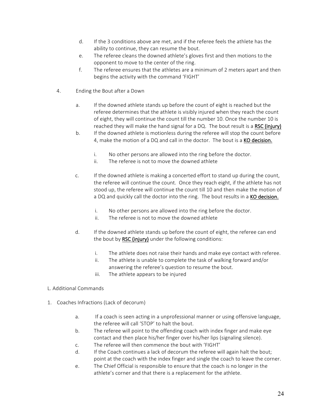- d. If the 3 conditions above are met, and if the referee feels the athlete has the ability to continue, they can resume the bout.
- e. The referee cleans the downed athlete's gloves first and then motions to the opponent to move to the center of the ring.
- f. The referee ensures that the athletes are a minimum of 2 meters apart and then begins the activity with the command 'FIGHT'
- 4. Ending the Bout after a Down
	- a. If the downed athlete stands up before the count of eight is reached but the referee determines that the athlete is visibly injured when they reach the count of eight, they will continue the count till the number 10. Once the number 10 is reached they will make the hand signal for a DQ. The bout result is a RSC (injury)
	- b. If the downed athlete is motionless during the referee will stop the count before 4, make the motion of a DQ and call in the doctor. The bout is a KO decision.
		- i. No other persons are allowed into the ring before the doctor.
		- ii. The referee is not to move the downed athlete
	- c. If the downed athlete is making a concerted effort to stand up during the count, the referee will continue the count. Once they reach eight, if the athlete has not stood up, the referee will continue the count till 10 and then make the motion of a DQ and quickly call the doctor into the ring. The bout results in a KO decision.
		- i. No other persons are allowed into the ring before the doctor.
		- ii. The referee is not to move the downed athlete
	- d. If the downed athlete stands up before the count of eight, the referee can end the bout by RSC (injury) under the following conditions:
		- i. The athlete does not raise their hands and make eye contact with referee.
		- ii. The athlete is unable to complete the task of walking forward and/or answering the referee's question to resume the bout.
		- iii. The athlete appears to be injured
- L. Additional Commands
- 1. Coaches Infractions (Lack of decorum)
	- a. If a coach is seen acting in a unprofessional manner or using offensive language, the referee will call 'STOP' to halt the bout.
	- b. The referee will point to the offending coach with index finger and make eye contact and then place his/her finger over his/her lips (signaling silence).
	- c. The referee will then commence the bout with 'FIGHT'
	- d. If the Coach continues a lack of decorum the referee will again halt the bout; point at the coach with the index finger and single the coach to leave the corner.
	- e. The Chief Official is responsible to ensure that the coach is no longer in the athlete's corner and that there is a replacement for the athlete.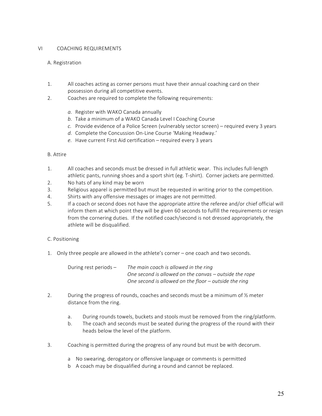# VI COACHING REQUIREMENTS

## A. Registration

- 1. All coaches acting as corner persons must have their annual coaching card on their possession during all competitive events.
- 2. Coaches are required to complete the following requirements:
	- a. Register with WAKO Canada annually
	- b. Take a minimum of a WAKO Canada Level I Coaching Course
	- *c.* Provide evidence of a Police Screen (vulnerably sector screen) required every 3 years
	- d. Complete the Concussion On-Line Course 'Making Headway.'
	- e. Have current First Aid certification required every 3 years

## B. Attire

- 1. All coaches and seconds must be dressed in full athletic wear. This includes full-length athletic pants, running shoes and a sport shirt (eg. T-shirt). Corner jackets are permitted.
- 2. No hats of any kind may be worn
- 3. Religious apparel is permitted but must be requested in writing prior to the competition.
- 4. Shirts with any offensive messages or images are not permitted.
- 5. If a coach or second does not have the appropriate attire the referee and/or chief official will inform them at which point they will be given 60 seconds to fulfill the requirements or resign from the cornering duties. If the notified coach/second is not dressed appropriately, the athlete will be disqualified.

## C. Positioning

1. Only three people are allowed in the athlete's corner – one coach and two seconds.

| During rest periods – | The main coach is allowed in the ring                   |
|-----------------------|---------------------------------------------------------|
|                       | One second is allowed on the canvas – outside the rope  |
|                       | One second is allowed on the floor $-$ outside the ring |

- 2. During the progress of rounds, coaches and seconds must be a minimum of  $\frac{1}{2}$  meter distance from the ring.
	- a. During rounds towels, buckets and stools must be removed from the ring/platform.
	- b. The coach and seconds must be seated during the progress of the round with their heads below the level of the platform.
- 3. Coaching is permitted during the progress of any round but must be with decorum.
	- a No swearing, derogatory or offensive language or comments is permitted
	- b A coach may be disqualified during a round and cannot be replaced.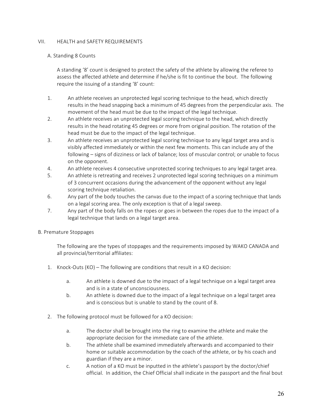## VII. HEALTH and SAFETY REQUIREMENTS

# A. Standing 8 Counts

A standing '8' count is designed to protect the safety of the athlete by allowing the referee to assess the affected athlete and determine if he/she is fit to continue the bout. The following require the issuing of a standing '8' count:

- 1. An athlete receives an unprotected legal scoring technique to the head, which directly results in the head snapping back a minimum of 45 degrees from the perpendicular axis. The movement of the head must be due to the impact of the legal technique.
- 2. An athlete receives an unprotected legal scoring technique to the head, which directly results in the head rotating 45 degrees or more from original position. The rotation of the head must be due to the impact of the legal technique.
- 3. An athlete receives an unprotected legal scoring technique to any legal target area and is visibly affected immediately or within the next few moments. This can include any of the following – signs of dizziness or lack of balance; loss of muscular control; or unable to focus on the opponent.
- 4. An athlete receives 4 consecutive unprotected scoring techniques to any legal target area.
- 5. An athlete is retreating and receives 2 unprotected legal scoring techniques on a minimum of 3 concurrent occasions during the advancement of the opponent without any legal scoring technique retaliation.
- 6. Any part of the body touches the canvas due to the impact of a scoring technique that lands on a legal scoring area. The only exception is that of a legal sweep.
- 7. Any part of the body falls on the ropes or goes in between the ropes due to the impact of a legal technique that lands on a legal target area.

## B. Premature Stoppages

The following are the types of stoppages and the requirements imposed by WAKO CANADA and all provincial/territorial affiliates:

- 1. Knock-Outs (KO) The following are conditions that result in a KO decision:
	- a. An athlete is downed due to the impact of a legal technique on a legal target area and is in a state of unconsciousness.
	- b. An athlete is downed due to the impact of a legal technique on a legal target area and is conscious but is unable to stand by the count of 8.
- 2. The following protocol must be followed for a KO decision:
	- a. The doctor shall be brought into the ring to examine the athlete and make the appropriate decision for the immediate care of the athlete.
	- b. The athlete shall be examined immediately afterwards and accompanied to their home or suitable accommodation by the coach of the athlete, or by his coach and guardian if they are a minor.
	- c. A notion of a KO must be inputted in the athlete's passport by the doctor/chief official. In addition, the Chief Official shall indicate in the passport and the final bout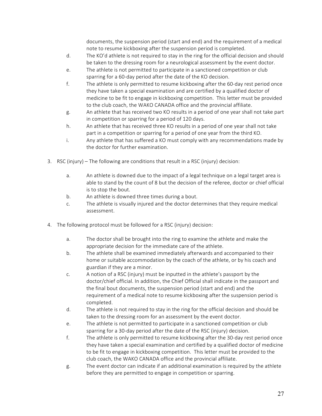documents, the suspension period (start and end) and the requirement of a medical note to resume kickboxing after the suspension period is completed.

- d. The KO'd athlete is not required to stay in the ring for the official decision and should be taken to the dressing room for a neurological assessment by the event doctor.
- e. The athlete is not permitted to participate in a sanctioned competition or club sparring for a 60-day period after the date of the KO decision.
- f. The athlete is only permitted to resume kickboxing after the 60-day rest period once they have taken a special examination and are certified by a qualified doctor of medicine to be fit to engage in kickboxing competition. This letter must be provided to the club coach, the WAKO CANADA office and the provincial affiliate.
- g. An athlete that has received two KO results in a period of one year shall not take part in competition or sparring for a period of 120 days.
- h. An athlete that has received three KO results in a period of one year shall not take part in a competition or sparring for a period of one year from the third KO.
- i. Any athlete that has suffered a KO must comply with any recommendations made by the doctor for further examination.
- 3. RSC (injury) The following are conditions that result in a RSC (injury) decision:
	- a. An athlete is downed due to the impact of a legal technique on a legal target area is able to stand by the count of 8 but the decision of the referee, doctor or chief official is to stop the bout.
	- b. An athlete is downed three times during a bout.
	- c. The athlete is visually injured and the doctor determines that they require medical assessment.
- 4. The following protocol must be followed for a RSC (injury) decision:
	- a. The doctor shall be brought into the ring to examine the athlete and make the appropriate decision for the immediate care of the athlete.
	- b. The athlete shall be examined immediately afterwards and accompanied to their home or suitable accommodation by the coach of the athlete, or by his coach and guardian if they are a minor.
	- c. A notion of a RSC (injury) must be inputted in the athlete's passport by the doctor/chief official. In addition, the Chief Official shall indicate in the passport and the final bout documents, the suspension period (start and end) and the requirement of a medical note to resume kickboxing after the suspension period is completed.
	- d. The athlete is not required to stay in the ring for the official decision and should be taken to the dressing room for an assessment by the event doctor.
	- e. The athlete is not permitted to participate in a sanctioned competition or club sparring for a 30-day period after the date of the RSC (injury) decision.
	- f. The athlete is only permitted to resume kickboxing after the 30-day rest period once they have taken a special examination and certified by a qualified doctor of medicine to be fit to engage in kickboxing competition. This letter must be provided to the club coach, the WAKO CANADA office and the provincial affiliate.
	- g. The event doctor can indicate if an additional examination is required by the athlete before they are permitted to engage in competition or sparring.